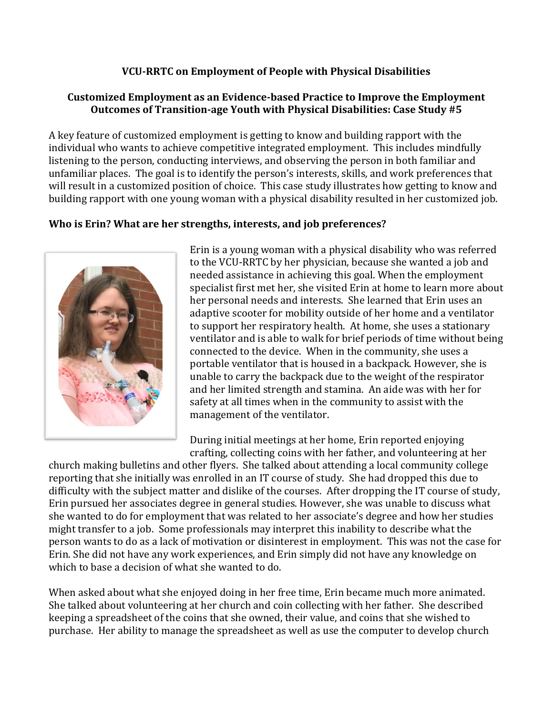### **VCU-RRTC on Employment of People with Physical Disabilities**

### **Customized Employment as an Evidence-based Practice to Improve the Employment Outcomes of Transition-age Youth with Physical Disabilities: Case Study #5**

A key feature of customized employment is getting to know and building rapport with the individual who wants to achieve competitive integrated employment. This includes mindfully listening to the person, conducting interviews, and observing the person in both familiar and unfamiliar places. The goal is to identify the person's interests, skills, and work preferences that will result in a customized position of choice. This case study illustrates how getting to know and building rapport with one young woman with a physical disability resulted in her customized job.

### **Who is Erin? What are her strengths, interests, and job preferences?**



Erin is a young woman with a physical disability who was referred to the VCU-RRTC by her physician, because she wanted a job and needed assistance in achieving this goal. When the employment specialist first met her, she visited Erin at home to learn more about her personal needs and interests. She learned that Erin uses an adaptive scooter for mobility outside of her home and a ventilator to support her respiratory health. At home, she uses a stationary ventilator and is able to walk for brief periods of time without being connected to the device. When in the community, she uses a portable ventilator that is housed in a backpack. However, she is unable to carry the backpack due to the weight of the respirator and her limited strength and stamina. An aide was with her for safety at all times when in the community to assist with the management of the ventilator.

During initial meetings at her home, Erin reported enjoying crafting, collecting coins with her father, and volunteering at her

church making bulletins and other flyers. She talked about attending a local community college reporting that she initially was enrolled in an IT course of study. She had dropped this due to difficulty with the subject matter and dislike of the courses. After dropping the IT course of study, Erin pursued her associates degree in general studies. However, she was unable to discuss what she wanted to do for employment that was related to her associate's degree and how her studies might transfer to a job. Some professionals may interpret this inability to describe what the person wants to do as a lack of motivation or disinterest in employment. This was not the case for Erin. She did not have any work experiences, and Erin simply did not have any knowledge on which to base a decision of what she wanted to do.

When asked about what she enjoyed doing in her free time, Erin became much more animated. She talked about volunteering at her church and coin collecting with her father. She described keeping a spreadsheet of the coins that she owned, their value, and coins that she wished to purchase. Her ability to manage the spreadsheet as well as use the computer to develop church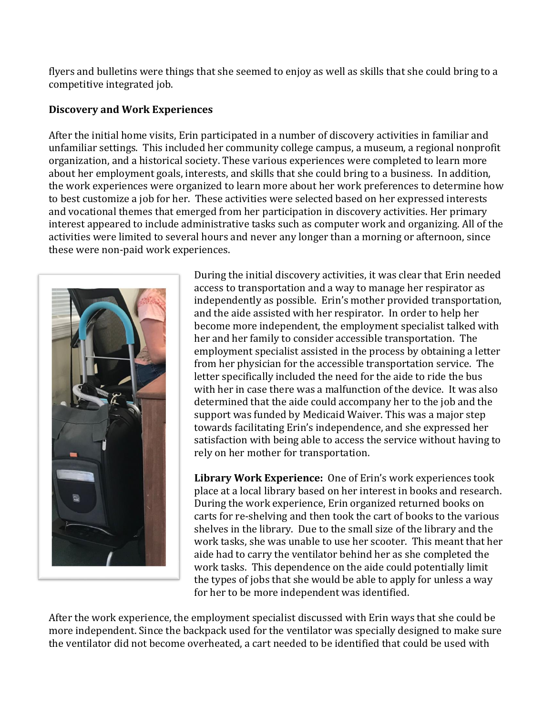flyers and bulletins were things that she seemed to enjoy as well as skills that she could bring to a competitive integrated job.

#### **Discovery and Work Experiences**

After the initial home visits, Erin participated in a number of discovery activities in familiar and unfamiliar settings. This included her community college campus, a museum, a regional nonprofit organization, and a historical society. These various experiences were completed to learn more about her employment goals, interests, and skills that she could bring to a business. In addition, the work experiences were organized to learn more about her work preferences to determine how to best customize a job for her. These activities were selected based on her expressed interests and vocational themes that emerged from her participation in discovery activities. Her primary interest appeared to include administrative tasks such as computer work and organizing. All of the activities were limited to several hours and never any longer than a morning or afternoon, since these were non-paid work experiences.



During the initial discovery activities, it was clear that Erin needed access to transportation and a way to manage her respirator as independently as possible. Erin's mother provided transportation, and the aide assisted with her respirator. In order to help her become more independent, the employment specialist talked with her and her family to consider accessible transportation. The employment specialist assisted in the process by obtaining a letter from her physician for the accessible transportation service. The letter specifically included the need for the aide to ride the bus with her in case there was a malfunction of the device. It was also determined that the aide could accompany her to the job and the support was funded by Medicaid Waiver. This was a major step towards facilitating Erin's independence, and she expressed her satisfaction with being able to access the service without having to rely on her mother for transportation.

**Library Work Experience:** One of Erin's work experiences took place at a local library based on her interest in books and research. During the work experience, Erin organized returned books on carts for re-shelving and then took the cart of books to the various shelves in the library. Due to the small size of the library and the work tasks, she was unable to use her scooter. This meant that her aide had to carry the ventilator behind her as she completed the work tasks. This dependence on the aide could potentially limit the types of jobs that she would be able to apply for unless a way for her to be more independent was identified.

After the work experience, the employment specialist discussed with Erin ways that she could be more independent. Since the backpack used for the ventilator was specially designed to make sure the ventilator did not become overheated, a cart needed to be identified that could be used with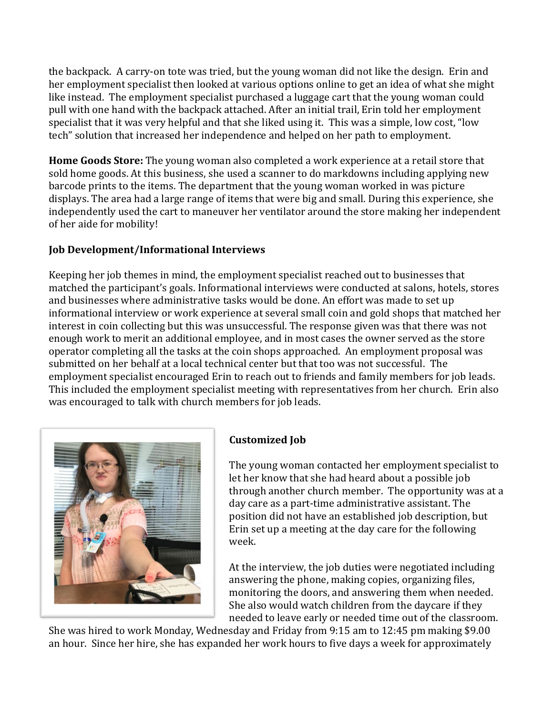the backpack. A carry-on tote was tried, but the young woman did not like the design. Erin and her employment specialist then looked at various options online to get an idea of what she might like instead. The employment specialist purchased a luggage cart that the young woman could pull with one hand with the backpack attached. After an initial trail, Erin told her employment specialist that it was very helpful and that she liked using it. This was a simple, low cost, "low tech" solution that increased her independence and helped on her path to employment.

**Home Goods Store:** The young woman also completed a work experience at a retail store that sold home goods. At this business, she used a scanner to do markdowns including applying new barcode prints to the items. The department that the young woman worked in was picture displays. The area had a large range of items that were big and small. During this experience, she independently used the cart to maneuver her ventilator around the store making her independent of her aide for mobility!

# **Job Development/Informational Interviews**

Keeping her job themes in mind, the employment specialist reached out to businesses that matched the participant's goals. Informational interviews were conducted at salons, hotels, stores and businesses where administrative tasks would be done. An effort was made to set up informational interview or work experience at several small coin and gold shops that matched her interest in coin collecting but this was unsuccessful. The response given was that there was not enough work to merit an additional employee, and in most cases the owner served as the store operator completing all the tasks at the coin shops approached. An employment proposal was submitted on her behalf at a local technical center but that too was not successful. The employment specialist encouraged Erin to reach out to friends and family members for job leads. This included the employment specialist meeting with representatives from her church. Erin also was encouraged to talk with church members for job leads.



# **Customized Job**

The young woman contacted her employment specialist to let her know that she had heard about a possible job through another church member. The opportunity was at a day care as a part-time administrative assistant. The position did not have an established job description, but Erin set up a meeting at the day care for the following week.

At the interview, the job duties were negotiated including answering the phone, making copies, organizing files, monitoring the doors, and answering them when needed. She also would watch children from the daycare if they needed to leave early or needed time out of the classroom.

She was hired to work Monday, Wednesday and Friday from 9:15 am to 12:45 pm making \$9.00 an hour. Since her hire, she has expanded her work hours to five days a week for approximately